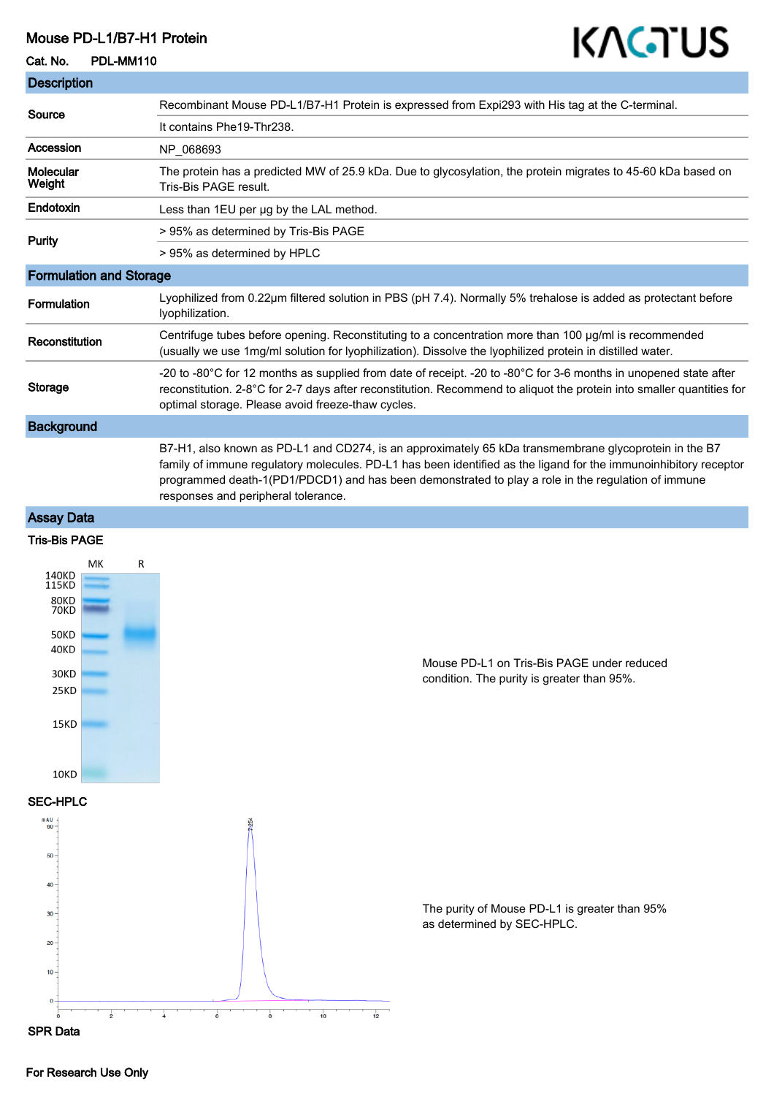#### Mouse PD-L1/B7-H1 Protein

# KAGTUS

Cat. No. PDL-MM110

| <b>Description</b>             |                                                                                                                                                                                                                                                                                                                                                                        |
|--------------------------------|------------------------------------------------------------------------------------------------------------------------------------------------------------------------------------------------------------------------------------------------------------------------------------------------------------------------------------------------------------------------|
| Source                         | Recombinant Mouse PD-L1/B7-H1 Protein is expressed from Expi293 with His tag at the C-terminal.                                                                                                                                                                                                                                                                        |
|                                | It contains Phe19-Thr238.                                                                                                                                                                                                                                                                                                                                              |
| Accession                      | NP_068693                                                                                                                                                                                                                                                                                                                                                              |
| <b>Molecular</b><br>Weight     | The protein has a predicted MW of 25.9 kDa. Due to glycosylation, the protein migrates to 45-60 kDa based on<br>Tris-Bis PAGE result.                                                                                                                                                                                                                                  |
| <b>Endotoxin</b>               | Less than 1EU per ug by the LAL method.                                                                                                                                                                                                                                                                                                                                |
| <b>Purity</b>                  | > 95% as determined by Tris-Bis PAGE                                                                                                                                                                                                                                                                                                                                   |
|                                | > 95% as determined by HPLC                                                                                                                                                                                                                                                                                                                                            |
| <b>Formulation and Storage</b> |                                                                                                                                                                                                                                                                                                                                                                        |
| <b>Formulation</b>             | Lyophilized from 0.22µm filtered solution in PBS (pH 7.4). Normally 5% trehalose is added as protectant before<br>lyophilization.                                                                                                                                                                                                                                      |
| Reconstitution                 | Centrifuge tubes before opening. Reconstituting to a concentration more than 100 µg/ml is recommended<br>(usually we use 1mg/ml solution for lyophilization). Dissolve the lyophilized protein in distilled water.                                                                                                                                                     |
| <b>Storage</b>                 | -20 to -80°C for 12 months as supplied from date of receipt. -20 to -80°C for 3-6 months in unopened state after<br>reconstitution. 2-8°C for 2-7 days after reconstitution. Recommend to aliquot the protein into smaller quantities for<br>optimal storage. Please avoid freeze-thaw cycles.                                                                         |
| <b>Background</b>              |                                                                                                                                                                                                                                                                                                                                                                        |
|                                | B7-H1, also known as PD-L1 and CD274, is an approximately 65 kDa transmembrane glycoprotein in the B7<br>family of immune regulatory molecules. PD-L1 has been identified as the ligand for the immunoinhibitory receptor<br>programmed death-1(PD1/PDCD1) and has been demonstrated to play a role in the regulation of immune<br>responses and peripheral tolerance. |

# Assay Data

## Tris-Bis PAGE